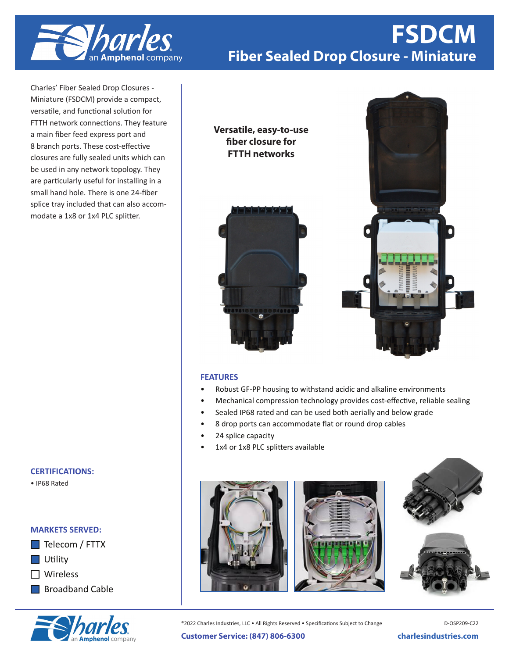

# **OHC-864 FSDCM Fiber Sealed Drop Closure - Miniature**

Charles' Fiber Sealed Drop Closures - Miniature (FSDCM) provide a compact, versatile, and functional solution for FTTH network connections. They feature a main fiber feed express port and 8 branch ports. These cost-effective closures are fully sealed units which can be used in any network topology. They are particularly useful for installing in a small hand hole. There is one 24-fiber splice tray included that can also accommodate a 1x8 or 1x4 PLC splitter.

## **CERTIFICATIONS:**

• IP68 Rated

### **MARKETS SERVED:**

- $\Box$  Telecom / FTTX
- **Utility**
- Wireless
- **Broadband Cable**



### **Versatile, easy-to-use fiber closure for FTTH networks**





### **FEATURES**

- Robust GF-PP housing to withstand acidic and alkaline environments
- Mechanical compression technology provides cost-effective, reliable sealing
- Sealed IP68 rated and can be used both aerially and below grade
- 8 drop ports can accommodate flat or round drop cables
- 24 splice capacity
- 1x4 or 1x8 PLC splitters available







®2022 Charles Industries, LLC • All Rights Reserved • Specifications Subject to Change

D-OSP209-C22

**Customer Service: (847) 806-6300 charlesindustries.com**